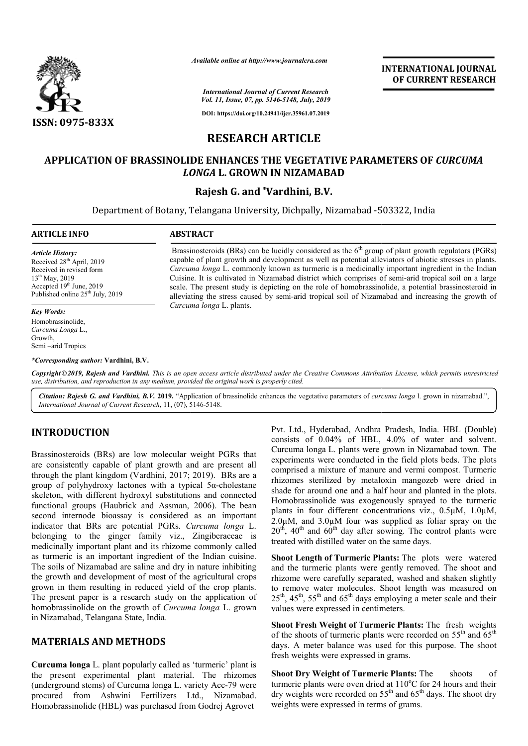

*Available online at http://www.journalcra.com*

**INTERNATIONAL JOURNAL OF CURRENT RESEARCH**

*International Journal of Current Research Vol. 11, Issue, 07, pp. 5146-5148, July, 2019*

**DOI: https://doi.org/10.24941/ijcr.35961.07.2019**

# **RESEARCH ARTICLE**

## **APPLICATION OF BRASSINOLIDE ENHANCES THE INOLIDE VEGETATIVE PARAMETER PARAMETERS OF** *CURCUMA LONGA* **L. GROWN IN NIZAMABAD**

### **Rajesh G. and \*Vardhini, B.V.**

Department of Botany, Telangana University, Dichpally, Nizamabad -503322, India 503322,

#### **ARTICLE INFO ABSTRACT** Brassinosteroids (BRs) can be lucidly considered as the  $6<sup>th</sup>$  group of plant growth regulators (PGRs) capable of plant growth and development as well as potential alleviators of abiotic stresses in plants. *Curcuma longa* L. commonly known as turmeric is a medicinally important ingredient in the Indian Cuisine. It is cultivated in Nizamabad district which comprises of semi *Article History:* Received 28<sup>th</sup> April, 2019 Received in revised form Brassinosteroids (BRs) can be lucidly considered as the  $6^{\text{th}}$  group of plant growth regulators (PGRs) capable of plant growth and development as well as potential alleviators of abiotic stresses in plants. *Curcuma lo*

*Curcuma longa* L. plants.

scale. The present study is depicting on the role of homobrassinolide, a potential brassinosteroid in scale. The present study is depicting on the role of homobrassinolide, a potential brassinosteroid in alleviating the stress caused by semi-arid tropical soil of Nizamabad and increasing the growth of

13<sup>th</sup> May, 2019 Accepted 19<sup>th</sup> June, 2019 Published online 25<sup>th</sup> July, 2019

#### *Key Words:*

Homobrassinolide, *Curcuma Longa* L., Growth, Semi –arid Tropics

*\*Corresponding author:* **Vardhini, B.V.**

Copyright©2019, Rajesh and Vardhini. This is an open access article distributed under the Creative Commons Attribution License, which permits unrestrictea *use, distribution, and reproduction in any medium, provided the original work is properly cited.*

Citation: Rajesh G. and Vardhini, B.V. 2019. "Application of brassinolide enhances the vegetative parameters of *curcuma longa* l. grown in nizamabad.", *International Journal of Current Research*, 11, (07), 5146 5146-5148.

# **INTRODUCTION**

Brassinosteroids (BRs) are low molecular weight PGRs that are consistently capable of plant growth and are present all through the plant kingdom (Vardhini, 2017; 2019). BRs are a group of polyhydroxy lactones with a typical 5α 5α-cholestane skeleton, with different hydroxyl substitutions and connected functional groups (Haubrick and Assman, 2006). The bean second internode bioassay is considered as an important indicator that BRs are potential PGRs. *Curcuma longa* L. belonging to the ginger family viz., Zingiberaceae is medicinally important plant and its rhizome commonly called as turmeric is an important ingredient of the Indian cuisine. The soils of Nizamabad are saline and dry in nature inhibiting the growth and development of most of the agricultural crops grown in them resulting in reduced yield of the crop plants. The present paper is a research study on the application of homobrassinolide on the growth of *Curcuma longa* L. grown in Nizamabad, Telangana State, India.

### **MATERIALS AND METHODS**

**Curcuma longa** L. plant popularly called as 'turmeric' plant is the present experimental plant material. The rhizomes (underground stems) of Curcuma longa L. variety Acc-79 were procured from Ashwini Fertilizers Ltd., Nizamabad. Homobrassinolide (HBL) was purchased from Godrej Agrovet

Pvt. Ltd., Hyderabad, Andhra Pradesh, India. HBL (Double) consists of 0.04% of HBL, 4.0% of water and solvent. Curcuma longa L. plants were grown in Nizamabad town. The experiments were conducted in the field plots beds. The plots comprised a mixture of manure and vermi compost. Turmeric rhizomes sterilized by metaloxin mangozeb were dried in shade for around one and a half hour and planted in the plots. Homobrassinolide was exogenously sprayed to the turmeric Homobrassinolide was exogenously sprayed to the turmeric plants in four different concentrations viz.,  $0.5\mu$ M,  $1.0\mu$ M,  $2.0\mu$ M, and  $3.0\mu$ M four was supplied as foliar spray on the  $20<sup>th</sup>$ , 40<sup>th</sup> and 60<sup>th</sup> day after sowing. The control plants were treated with distilled water on the same days. of HBL, 4.0% of water and solvent.<br>Ints were grown in Nizamabad town. The<br>ducted in the field plots beds. The plots<br>of manure and vermi compost. Turmeric<br>y metaloxin mangozeb were dried in<br>and a half hour and planted in th INTERNATIONAL JOURNAL<br>
Concent Research<br>
Concent Research<br>
Concent Research<br>
Concent Research<br>
Concent Research<br>
Historics Assets and the C<sup>2</sup> group of plant growth regulators (FGRs<br>
HISTOLLE<br>
HE VEGETATIVE PARAMETERS OF

**Shoot Length of Turmeric Plants: The plots were watered** and the turmeric plants were gently removed. The shoot and rhizome were carefully separated, washed and shaken slightly to remove water molecules. Shoot length was measured on  $25<sup>th</sup>$ ,  $45<sup>th</sup>$ ,  $55<sup>th</sup>$  and  $65<sup>th</sup>$  days employing a meter scale and their values were expressed in centimeters. the turmeric plants were gently removed. The shoot and<br>me were carefully separated, washed and shaken slightly<br>move water molecules. Shoot length was measured on<br> $45^{\text{th}}$ ,  $55^{\text{th}}$  and  $65^{\text{th}}$  days employing a mete

**Shoot Fresh Weight of Turmeric Plants:** The fresh weights of the shoots of turmeric plants were recorded on  $55<sup>th</sup>$  and  $65<sup>th</sup>$ days. A meter balance was used for this purpose. The shoot days. A meter balance was used for fresh weights were expressed in grams.

**Shoot Dry Weight of Turmeric Plants:** The shoots of turmeric plants were oven dried at 110°C for 24 hours and their dry weights were recorded on  $55<sup>th</sup>$  and  $65<sup>th</sup>$  days. The shoot dry weights were expressed in terms of grams.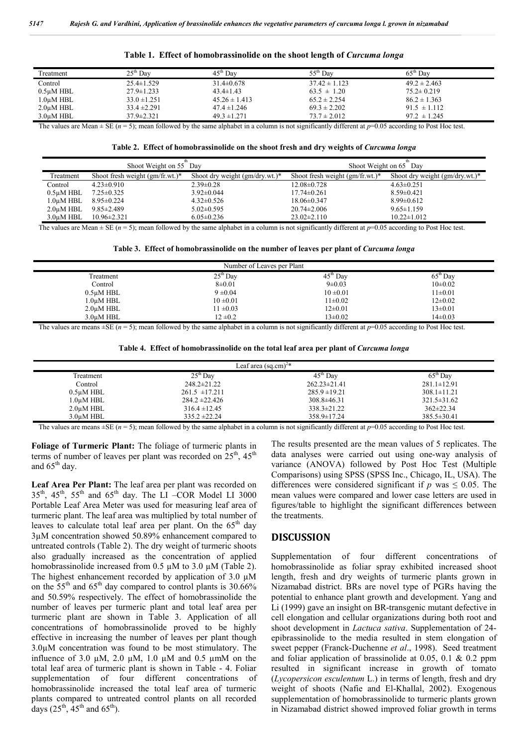| Treatment              | $25^{\text{th}}$ Dav | $45^{\text{th}}$ Dav | $55^{\text{th}}$ Day | $65^{\rm m}$<br>Dav |  |
|------------------------|----------------------|----------------------|----------------------|---------------------|--|
| Control                | $25.4 \pm 1.529$     | $31.4 \pm 0.678$     | $37.42 \pm 1.123$    | $49.2 \pm 2.463$    |  |
| $0.5$ uM HBL           | $27.9 \pm 1.233$     | $43.4 \pm 1.43$      | $63.5 \pm 1.20$      | $75.2 \pm 0.219$    |  |
| 1.0 <sub>u</sub> M HBL | $33.0 \pm 1.251$     | $45.26 \pm 1.413$    | $65.2 \pm 2.254$     | $86.2 \pm 1.363$    |  |
| $2.0\mu M$ HBL         | $33.4 \pm 2.291$     | $47.4 \pm 1.246$     | $69.3 \pm 2.202$     | $91.5 \pm 1.112$    |  |
| 3.0uM HBL              | $37.9 \pm 2.321$     | $49.3 \pm 1.271$     | $73.7 \pm 2.012$     | $97.2 \pm 1.245$    |  |

| Table 1. Effect of homobrassinolide on the shoot length of Curcuma longa |  |  |  |
|--------------------------------------------------------------------------|--|--|--|
|--------------------------------------------------------------------------|--|--|--|

The values are Mean  $\pm$  SE ( $n = 5$ ); mean followed by the same alphabet in a column is not significantly different at  $p=0.05$  according to Post Hoc test.

|  |  |  |  |  |  |  |  | Table 2. Effect of homobrassinolide on the shoot fresh and dry weights of <i>Curcuma longa</i> |  |  |
|--|--|--|--|--|--|--|--|------------------------------------------------------------------------------------------------|--|--|
|--|--|--|--|--|--|--|--|------------------------------------------------------------------------------------------------|--|--|

|                 | Shoot Weight on 55 Day             |                                   | Shoot Weight on 65 Day             |                                   |  |  |
|-----------------|------------------------------------|-----------------------------------|------------------------------------|-----------------------------------|--|--|
| Treatment       | Shoot fresh weight $(gm/fr.wt.)^*$ | Shoot dry weight $(gm/dry.wt.)$ * | Shoot fresh weight $(gm/fr.wt.)^*$ | Shoot dry weight $(gm/dry.wt.)$ * |  |  |
| Control         | $4.23 \pm 0.910$                   | $2.39\pm0.28$                     | $12.08 \pm 0.728$                  | $4.63 \pm 0.251$                  |  |  |
| $0.5\mu$ M HBL  | $7.25 \pm 0.325$                   | $3.92 \pm 0.044$                  | $17.74 \pm 0.261$                  | $8.59 \pm 0.421$                  |  |  |
| $1.0\mu$ M HBL  | $8.95 \pm 0.224$                   | $4.32 \pm 0.526$                  | $18.06 \pm 0.347$                  | $8.99 \pm 0.612$                  |  |  |
| $2.0 \mu M$ HBL | $9.85 \pm 2.489$                   | $5.02 \pm 0.595$                  | $20.74 \pm 2.006$                  | $9.65 \pm 1.159$                  |  |  |
| $3.0 \mu M$ HBL | $10.96 \pm 2.321$                  | $6.05 \pm 0.236$                  | $23.02 \pm 2.110$                  | $10.22 \pm 1.012$                 |  |  |

The values are Mean  $\pm$  SE ( $n = 5$ ); mean followed by the same alphabet in a column is not significantly different at  $p=0.05$  according to Post Hoc test.

**Table 3. Effect of homobrassinolide on the number of leaves per plant of** *Curcuma longa*

| Number of Leaves per Plant |                      |               |                      |  |  |  |  |
|----------------------------|----------------------|---------------|----------------------|--|--|--|--|
| Treatment                  | $25^{\text{th}}$ Day | $45th$ Day    | $65^{\text{th}}$ Day |  |  |  |  |
| Control                    | $8\pm0.01$           | $9 \pm 0.03$  | $10\pm0.02$          |  |  |  |  |
| $0.5\mu$ M HBL             | $9 \pm 0.04$         | $10 \pm 0.01$ | $11\pm0.01$          |  |  |  |  |
| 1.0µM HBL                  | $10 \pm 0.01$        | $11\pm0.02$   | $12\pm0.02$          |  |  |  |  |
| $2.0 \mu M$ HBL            | $11 \pm 0.03$        | $12 \pm 0.01$ | $13\pm0.01$          |  |  |  |  |
| 3.0uM HBL                  | $12 \pm 0.2$         | $13 \pm 0.02$ | $14\pm0.03$          |  |  |  |  |

The values are means  $\pm$ SE ( $n = 5$ ); mean followed by the same alphabet in a column is not significantly different at  $p=0.05$  according to Post Hoc test.

| Table 4. Effect of homobrassinolide on the total leaf area per plant of <i>Curcuma longa</i> |  |  |  |  |  |
|----------------------------------------------------------------------------------------------|--|--|--|--|--|
|----------------------------------------------------------------------------------------------|--|--|--|--|--|

| Leaf area $(sq.cm)^{2*}$ |                    |                    |                   |  |  |  |
|--------------------------|--------------------|--------------------|-------------------|--|--|--|
| Treatment                | $25th$ Day         | $45th$ Day         | $65th$ Day        |  |  |  |
| Control                  | $248.2 \pm 21.22$  | $262.23 \pm 21.41$ | $281.1 \pm 12.91$ |  |  |  |
| $0.5\mu M$ HBL           | $261.5 \pm 17.211$ | $285.9 \pm 19.21$  | $308.1 \pm 11.21$ |  |  |  |
| $1.0\mu$ M HBL           | $284.2 \pm 22.426$ | $308.8 \pm 46.31$  | $321.5 \pm 31.62$ |  |  |  |
| $2.0\mu M$ HBL           | $316.4 \pm 12.45$  | $338.3 \pm 21.22$  | $362 \pm 22.34$   |  |  |  |
| 3.0uM HBL                | $335.2 \pm 22.24$  | 358.9±17.24        | $385.5 \pm 30.41$ |  |  |  |

The values are means  $\pm$ SE (*n* = 5); mean followed by the same alphabet in a column is not significantly different at *p*=0.05 according to Post Hoc test.

**Foliage of Turmeric Plant:** The foliage of turmeric plants in terms of number of leaves per plant was recorded on  $25<sup>th</sup>$ ,  $45<sup>th</sup>$ and  $65<sup>th</sup>$  day.

**Leaf Area Per Plant:** The leaf area per plant was recorded on  $35<sup>th</sup>$ ,  $45<sup>th</sup>$ ,  $55<sup>th</sup>$  and  $65<sup>th</sup>$  day. The LI –COR Model LI 3000 Portable Leaf Area Meter was used for measuring leaf area of turmeric plant. The leaf area was multiplied by total number of leaves to calculate total leaf area per plant. On the  $65<sup>th</sup>$  day 3µM concentration showed 50.89% enhancement compared to untreated controls (Table 2). The dry weight of turmeric shoots also gradually increased as the concentration of applied homobrassinolide increased from 0.5  $\mu$ M to 3.0  $\mu$ M (Table 2). The highest enhancement recorded by application of  $3.0 \mu M$ on the  $55<sup>th</sup>$  and  $65<sup>th</sup>$  day compared to control plants is 30.66% and 50.59% respectively. The effect of homobrassinolide the number of leaves per turmeric plant and total leaf area per turmeric plant are shown in Table 3. Application of all concentrations of homobrassinolide proved to be highly effective in increasing the number of leaves per plant though 3.0µM concentration was found to be most stimulatory. The influence of 3.0  $\mu$ M, 2.0  $\mu$ M, 1.0  $\mu$ M and 0.5  $\mu$ mM on the total leaf area of turmeric plant is shown in Table - 4. Foliar supplementation of four different concentrations of homobrassinolide increased the total leaf area of turmeric plants compared to untreated control plants on all recorded days  $(25<sup>th</sup>, 45<sup>th</sup>$  and  $65<sup>th</sup>$ ).

The results presented are the mean values of 5 replicates. The data analyses were carried out using one-way analysis of variance (ANOVA) followed by Post Hoc Test (Multiple Comparisons) using SPSS (SPSS Inc., Chicago, IL, USA). The differences were considered significant if  $p$  was  $\leq 0.05$ . The mean values were compared and lower case letters are used in figures/table to highlight the significant differences between the treatments.

### **DISCUSSION**

Supplementation of four different concentrations of homobrassinolide as foliar spray exhibited increased shoot length, fresh and dry weights of turmeric plants grown in Nizamabad district. BRs are novel type of PGRs having the potential to enhance plant growth and development. Yang and Li (1999) gave an insight on BR-transgenic mutant defective in cell elongation and cellular organizations during both root and shoot development in *Lactuca sativa*. Supplementation of 24 epibrassinolide to the media resulted in stem elongation of sweet pepper (Franck-Duchenne *et al*., 1998). Seed treatment and foliar application of brassinolide at 0.05, 0.1 & 0.2 ppm resulted in significant increase in growth of tomato (*Lycopersicon esculentum* L.) in terms of length, fresh and dry weight of shoots (Nafie and El-Khallal, 2002). Exogenous supplementation of homobrassinolide to turmeric plants grown in Nizamabad district showed improved foliar growth in terms